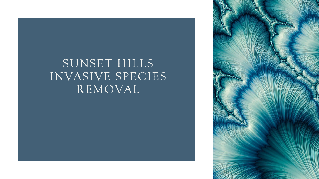# SUNSET HILLS INVASIVE SPECIES REMOVAL

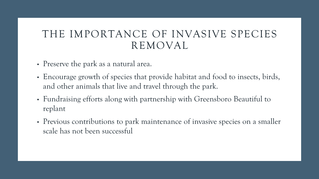#### THE IMPORTANCE OF INVASIVE SPECIES REMOVAL

- Preserve the park as a natural area.
- Encourage growth of species that provide habitat and food to insects, birds, and other animals that live and travel through the park.
- Fundraising efforts along with partnership with Greensboro Beautiful to replant
- Previous contributions to park maintenance of invasive species on a smaller scale has not been successful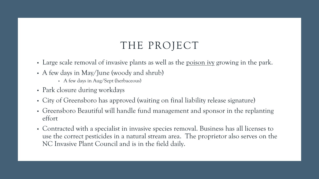- Large scale removal of invasive plants as well as the poison ivy growing in the park.
- A few days in May/June (woody and shrub)
	- A few days in Aug/Sept (herbaceous)
- Park closure during workdays
- City of Greensboro has approved (waiting on final liability release signature)
- Greensboro Beautiful will handle fund management and sponsor in the replanting effort
- Contracted with a specialist in invasive species removal. Business has all licenses to use the correct pesticides in a natural stream area. The proprietor also serves on the NC Invasive Plant Council and is in the field daily.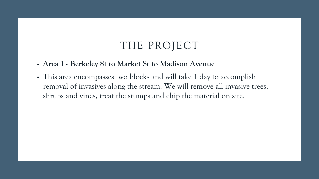- **Area 1 - Berkeley St to Market St to Madison Avenue**
- This area encompasses two blocks and will take 1 day to accomplish removal of invasives along the stream. We will remove all invasive trees, shrubs and vines, treat the stumps and chip the material on site.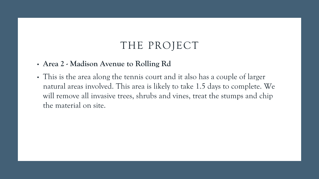#### • **Area 2 - Madison Avenue to Rolling Rd**

• This is the area along the tennis court and it also has a couple of larger natural areas involved. This area is likely to take 1.5 days to complete. We will remove all invasive trees, shrubs and vines, treat the stumps and chip the material on site.